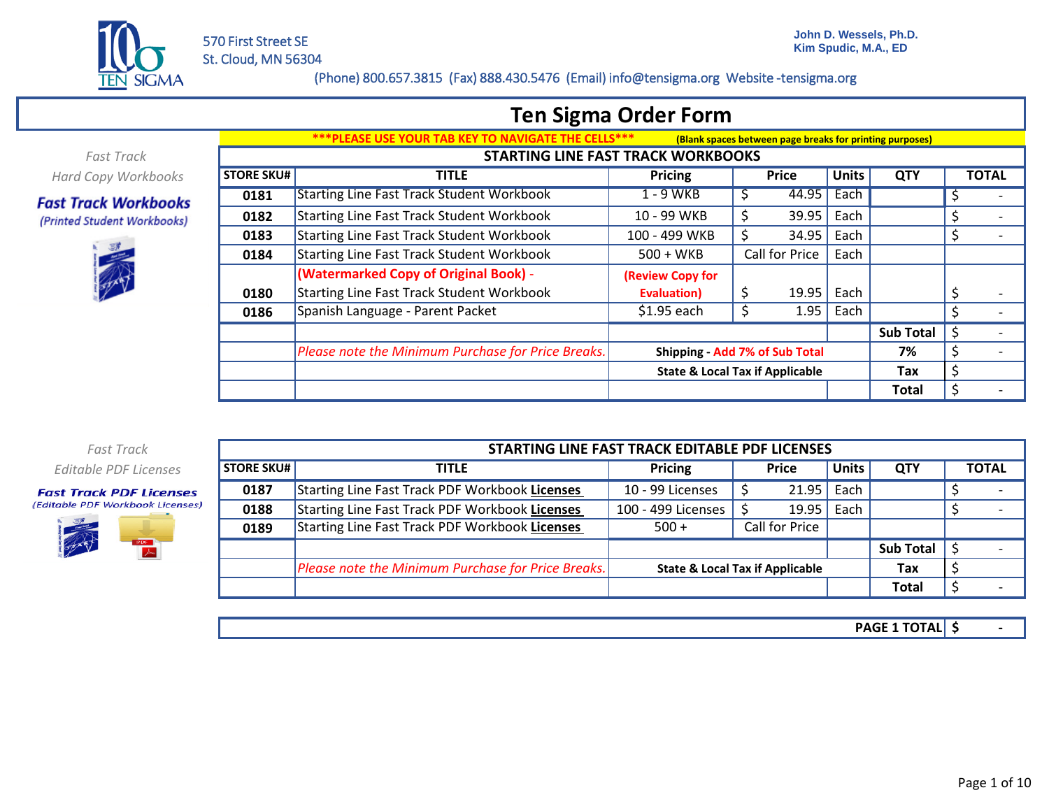

## **Ten Sigma Order Form**

*Fast Track Hard Copy Workbooks*

#### **Fast Track Workbooks** (Printed Student Workbooks)



|                   | <u>PLEASE USE YOUR TAB KEY TO NAVIGATE THE CELLS***</u> |                  | (Blank spaces between page breaks for printing purposes) |              |                  |                                |
|-------------------|---------------------------------------------------------|------------------|----------------------------------------------------------|--------------|------------------|--------------------------------|
|                   | <b>STARTING LINE FAST TRACK WORKBOOKS</b>               |                  |                                                          |              |                  |                                |
| <b>STORE SKU#</b> | <b>TITLE</b>                                            | <b>Pricing</b>   | <b>Price</b>                                             | <b>Units</b> | <b>QTY</b>       | <b>TOTAL</b>                   |
| 0181              | <b>Starting Line Fast Track Student Workbook</b>        | 1 - 9 WKB        | 44.95<br>S                                               | Each         |                  | \$                             |
| 0182              | Starting Line Fast Track Student Workbook               | 10 - 99 WKB      | \$<br>39.95                                              | Each         |                  | \$                             |
| 0183              | Starting Line Fast Track Student Workbook               | 100 - 499 WKB    | 34.95<br>S                                               | Each         |                  | \$                             |
| 0184              | <b>Starting Line Fast Track Student Workbook</b>        | $500 + WKB$      | Call for Price                                           | Each         |                  |                                |
|                   | (Watermarked Copy of Original Book) -                   | (Review Copy for |                                                          |              |                  |                                |
| 0180              | Starting Line Fast Track Student Workbook               | Evaluation)      | \$<br>19.95                                              | Each         |                  | \$<br>$\overline{\phantom{0}}$ |
| 0186              | Spanish Language - Parent Packet                        | \$1.95 each      | 1.95                                                     | Each         |                  | \$                             |
|                   |                                                         |                  |                                                          |              | <b>Sub Total</b> | \$                             |
|                   | Please note the Minimum Purchase for Price Breaks.      |                  | Shipping - Add 7% of Sub Total                           |              | 7%               | \$                             |
|                   |                                                         |                  | <b>State &amp; Local Tax if Applicable</b>               |              | Tax              | \$                             |
|                   |                                                         |                  |                                                          |              | Total            | \$                             |

*Fast Track Editable PDF Licenses*

#### **Fast Track PDF Licenses** (Editable PDF Workbook Licenses)



|                   | STARTING LINE FAST TRACK EDITABLE PDF LICENSES     |                                            |                |              |                  |  |              |  |  |  |  |  |
|-------------------|----------------------------------------------------|--------------------------------------------|----------------|--------------|------------------|--|--------------|--|--|--|--|--|
| <b>STORE SKU#</b> | <b>TITLE</b>                                       | <b>Pricing</b>                             | <b>Price</b>   | <b>Units</b> | <b>QTY</b>       |  | <b>TOTAL</b> |  |  |  |  |  |
| 0187              | Starting Line Fast Track PDF Workbook Licenses     | 10 - 99 Licenses                           | 21.95          | Each         |                  |  |              |  |  |  |  |  |
| 0188              | Starting Line Fast Track PDF Workbook Licenses     | 100 - 499 Licenses                         | 19.95          | Each         |                  |  |              |  |  |  |  |  |
| 0189              | Starting Line Fast Track PDF Workbook Licenses     | $500 +$                                    | Call for Price |              |                  |  |              |  |  |  |  |  |
|                   |                                                    |                                            |                |              | <b>Sub Total</b> |  |              |  |  |  |  |  |
|                   | Please note the Minimum Purchase for Price Breaks. | <b>State &amp; Local Tax if Applicable</b> |                | Tax          |                  |  |              |  |  |  |  |  |
|                   |                                                    |                                            |                |              | <b>Total</b>     |  |              |  |  |  |  |  |

**\$ - PAGE 1 TOTAL**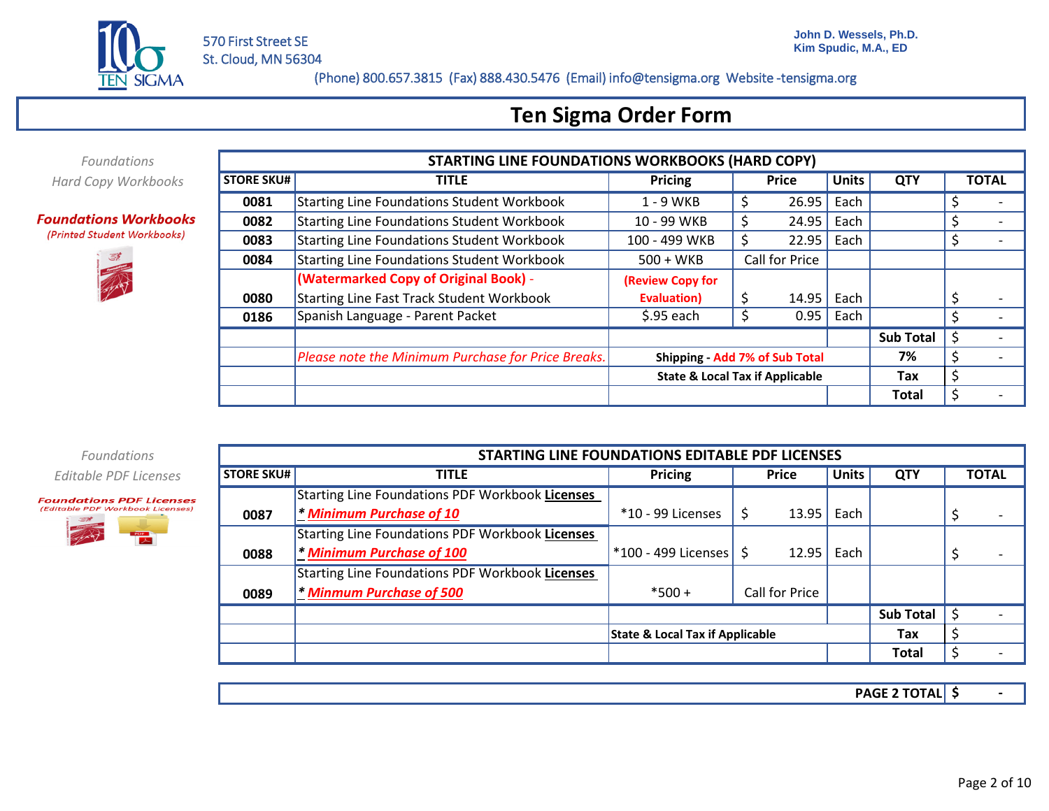

## **Ten Sigma Order Form**

*Foundations Hard Copy Workbooks*

#### **Foundations Workbooks** (Printed Student Workbooks)



|                   | <b>STARTING LINE FOUNDATIONS WORKBOOKS (HARD COPY)</b> |                                            |                |              |              |                  |    |              |
|-------------------|--------------------------------------------------------|--------------------------------------------|----------------|--------------|--------------|------------------|----|--------------|
| <b>STORE SKU#</b> | <b>TITLE</b>                                           | <b>Pricing</b>                             |                | <b>Price</b> | <b>Units</b> | <b>QTY</b>       |    | <b>TOTAL</b> |
| 0081              | <b>Starting Line Foundations Student Workbook</b>      | 1 - 9 WKB                                  | \$             | 26.95        | Each         |                  |    |              |
| 0082              | <b>Starting Line Foundations Student Workbook</b>      | 10 - 99 WKB                                | \$             | 24.95        | Each         |                  | Ś  |              |
| 0083              | <b>Starting Line Foundations Student Workbook</b>      | 100 - 499 WKB                              | 22.95          |              | Each         |                  | S  |              |
| 0084              | Starting Line Foundations Student Workbook             | $500 + WKB$                                | Call for Price |              |              |                  |    |              |
|                   | (Watermarked Copy of Original Book) -                  | (Review Copy for                           |                |              |              |                  |    |              |
| 0080              | <b>Starting Line Fast Track Student Workbook</b>       | <b>Evaluation</b> )                        |                | 14.95        | Each         |                  |    |              |
| 0186              | Spanish Language - Parent Packet                       | $$.95$ each                                | Ś              | 0.95         | Each         |                  | \$ |              |
|                   |                                                        |                                            |                |              |              | <b>Sub Total</b> | S  |              |
|                   | Please note the Minimum Purchase for Price Breaks.     | Shipping - Add 7% of Sub Total             |                |              |              | 7%               | \$ |              |
|                   |                                                        | <b>State &amp; Local Tax if Applicable</b> |                |              |              | Tax              | \$ |              |
|                   |                                                        |                                            |                |              |              | <b>Total</b>     | \$ |              |

*Foundations Editable PDF Licenses*



|                   | STARTING LINE FOUNDATIONS EDITABLE PDF LICENSES        |                                            |                |              |                  |                               |
|-------------------|--------------------------------------------------------|--------------------------------------------|----------------|--------------|------------------|-------------------------------|
| <b>STORE SKU#</b> | <b>TITLE</b>                                           | Pricing                                    | <b>Price</b>   | <b>Units</b> | <b>QTY</b>       | <b>TOTAL</b>                  |
|                   | Starting Line Foundations PDF Workbook Licenses        |                                            |                |              |                  |                               |
| 0087              | * Minimum Purchase of 10                               | *10 - 99 Licenses                          | 13.95          | Each         |                  | Ş                             |
|                   | <b>Starting Line Foundations PDF Workbook Licenses</b> |                                            |                |              |                  |                               |
| 0088              | * Minimum Purchase of 100                              | *100 - 499 Licenses   \$                   | 12.95          | Each         |                  | Ş<br>$\overline{\phantom{0}}$ |
|                   | <b>Starting Line Foundations PDF Workbook Licenses</b> |                                            |                |              |                  |                               |
| 0089              | * Minmum Purchase of 500                               | $*500 +$                                   | Call for Price |              |                  |                               |
|                   |                                                        |                                            |                |              | <b>Sub Total</b> | S                             |
|                   |                                                        | <b>State &amp; Local Tax if Applicable</b> |                |              | Tax              | \$                            |
|                   |                                                        |                                            |                |              | <b>Total</b>     | Ś                             |

**\$ - PAGE 2 TOTAL**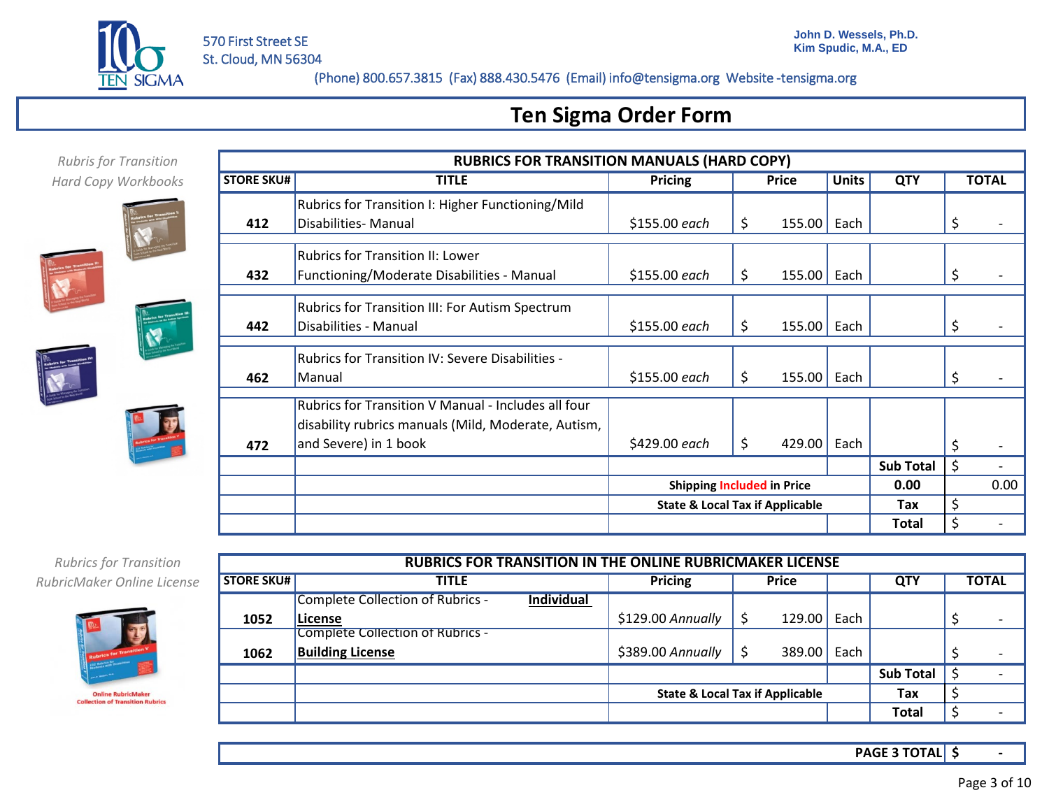

Rubrics for Transition I: Higher Functioning/Mild

## **Ten Sigma Order Form**

**STORE SKU# TITLE Pricing Price Units QTY TOTAL** 

**RUBRICS FOR TRANSITION MANUALS (HARD COPY)**<br>TITLE **TITLE** Price **PECALL PECALL** 

| <b>Rubris for Transition</b> |
|------------------------------|
| <b>Hard Copy Workbooks</b>   |





*Rubrics for Transition RubricMaker Online License*



|                   | <b>RUBRICS FOR TRANSITION IN THE ONLINE RUBRICMAKER LICENSE</b> |                                            |  |              |      |                  |  |                          |  |  |  |  |
|-------------------|-----------------------------------------------------------------|--------------------------------------------|--|--------------|------|------------------|--|--------------------------|--|--|--|--|
| <b>STORE SKU#</b> | <b>TITLE</b>                                                    | <b>Pricing</b>                             |  | <b>Price</b> |      | <b>QTY</b>       |  | <b>TOTAL</b>             |  |  |  |  |
|                   | <b>Complete Collection of Rubrics -</b><br><b>Individual</b>    |                                            |  |              |      |                  |  |                          |  |  |  |  |
| 1052              | License                                                         | \$129.00 Annually                          |  | 129.00       | Each |                  |  | $\overline{\phantom{0}}$ |  |  |  |  |
|                   | Complete Collection of Rubrics -                                |                                            |  |              |      |                  |  |                          |  |  |  |  |
| 1062              | <b>Building License</b>                                         | \$389.00 Annually                          |  | 389.00       | Each |                  |  | $\overline{\phantom{0}}$ |  |  |  |  |
|                   |                                                                 |                                            |  |              |      | <b>Sub Total</b> |  |                          |  |  |  |  |
|                   |                                                                 | <b>State &amp; Local Tax if Applicable</b> |  |              |      | Tax              |  |                          |  |  |  |  |
|                   |                                                                 |                                            |  |              |      | Total            |  |                          |  |  |  |  |

**\$ - PAGE 3 TOTAL**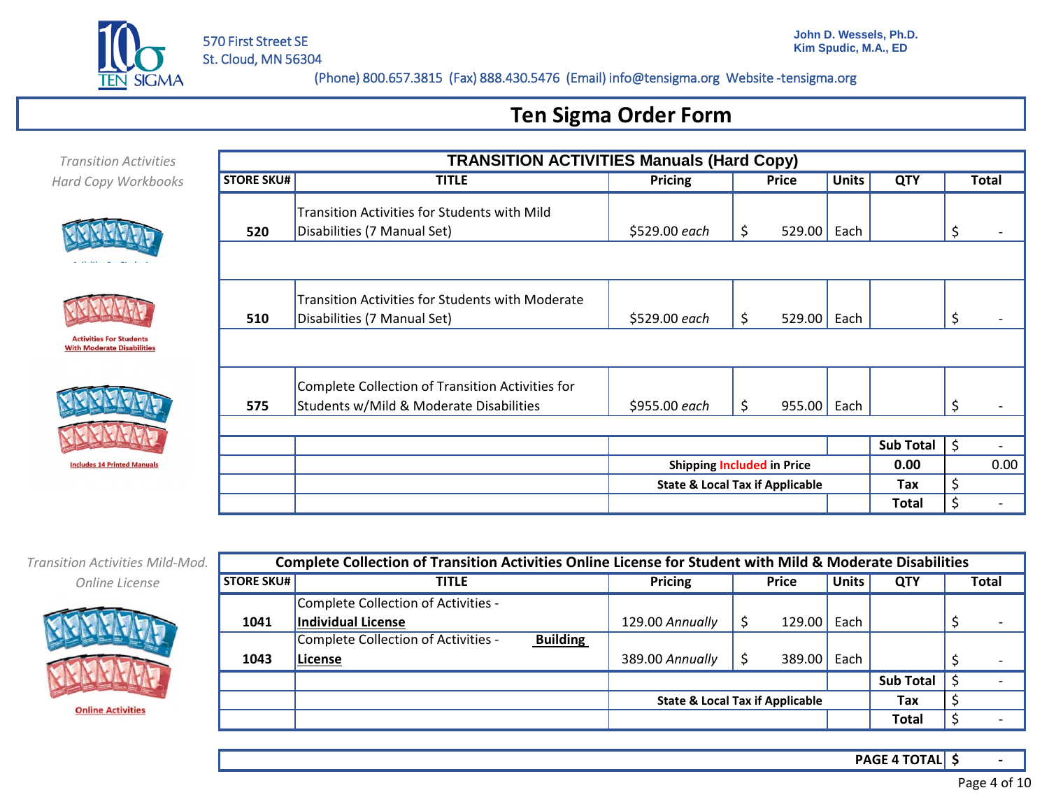

# **Ten Sigma Order Form**

| <b>Transition Activities</b>                                        |                   | <b>TRANSITION ACTIVITIES Manuals (Hard Copy)</b>                                            |                |                                            |              |                  |    |              |  |  |
|---------------------------------------------------------------------|-------------------|---------------------------------------------------------------------------------------------|----------------|--------------------------------------------|--------------|------------------|----|--------------|--|--|
| Hard Copy Workbooks                                                 | <b>STORE SKU#</b> | <b>TITLE</b>                                                                                | <b>Pricing</b> | <b>Price</b>                               | <b>Units</b> | <b>QTY</b>       |    | <b>Total</b> |  |  |
| Anti-Itina Fou Phindowse                                            | 520               | Transition Activities for Students with Mild<br>Disabilities (7 Manual Set)                 | \$529.00 each  | 529.00 Each<br>S                           |              |                  | S  |              |  |  |
| <b>Activities For Students</b><br><b>With Moderate Disabilities</b> | 510               | <b>Transition Activities for Students with Moderate</b><br>Disabilities (7 Manual Set)      | \$529.00 each  | 529.00 Each<br>S                           |              |                  | S  |              |  |  |
|                                                                     | 575               | Complete Collection of Transition Activities for<br>Students w/Mild & Moderate Disabilities | \$955.00 each  | $955.00$ Each<br>S                         |              |                  | S  |              |  |  |
|                                                                     |                   |                                                                                             |                |                                            |              | <b>Sub Total</b> | \$ |              |  |  |
| <b>Includes 14 Printed Manuals</b>                                  |                   |                                                                                             |                | <b>Shipping Included in Price</b>          |              | 0.00             |    | 0.00         |  |  |
|                                                                     |                   |                                                                                             |                | <b>State &amp; Local Tax if Applicable</b> |              | Tax              | \$ |              |  |  |
|                                                                     |                   |                                                                                             |                |                                            |              | Total            | Ś  |              |  |  |

*Transition Activities Mild-Mod. Online License*



|                   | Complete Collection of Transition Activities Online License for Student with Mild & Moderate Disabilities |                 |                                            |              |                  |                          |  |  |  |  |  |  |
|-------------------|-----------------------------------------------------------------------------------------------------------|-----------------|--------------------------------------------|--------------|------------------|--------------------------|--|--|--|--|--|--|
| <b>STORE SKU#</b> | <b>TITLE</b>                                                                                              | Pricing         | <b>Price</b>                               | <b>Units</b> | <b>QTY</b>       | <b>Total</b>             |  |  |  |  |  |  |
|                   | Complete Collection of Activities -                                                                       |                 |                                            |              |                  |                          |  |  |  |  |  |  |
| 1041              | Individual License                                                                                        | 129.00 Annually | 129.00                                     | Each         |                  | $\overline{\phantom{0}}$ |  |  |  |  |  |  |
|                   | Complete Collection of Activities -<br><b>Building</b>                                                    |                 |                                            |              |                  |                          |  |  |  |  |  |  |
| 1043              | License                                                                                                   | 389.00 Annually | 389.00                                     | Each         |                  | $\overline{\phantom{0}}$ |  |  |  |  |  |  |
|                   |                                                                                                           |                 |                                            |              | <b>Sub Total</b> |                          |  |  |  |  |  |  |
|                   |                                                                                                           |                 | <b>State &amp; Local Tax if Applicable</b> |              | Tax              |                          |  |  |  |  |  |  |
|                   |                                                                                                           |                 |                                            |              | Total            |                          |  |  |  |  |  |  |

**\$ - PAGE 4 TOTAL**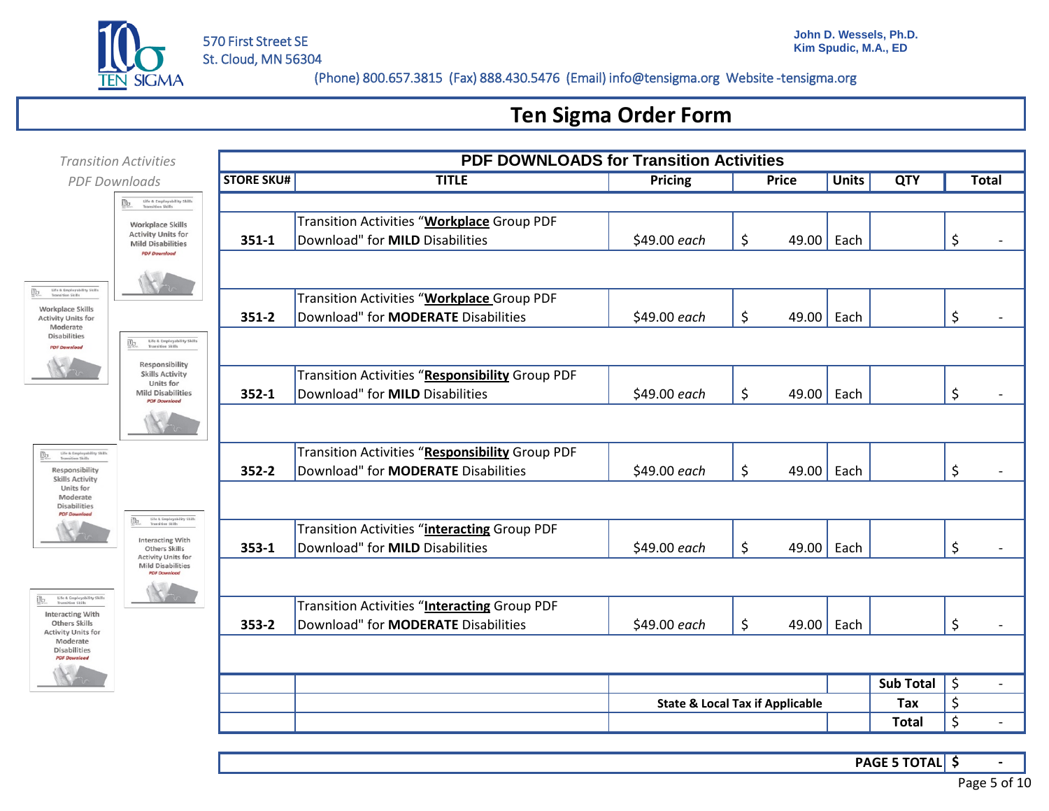

### **Ten Sigma Order Form**



**\$ - PAGE 5 TOTAL**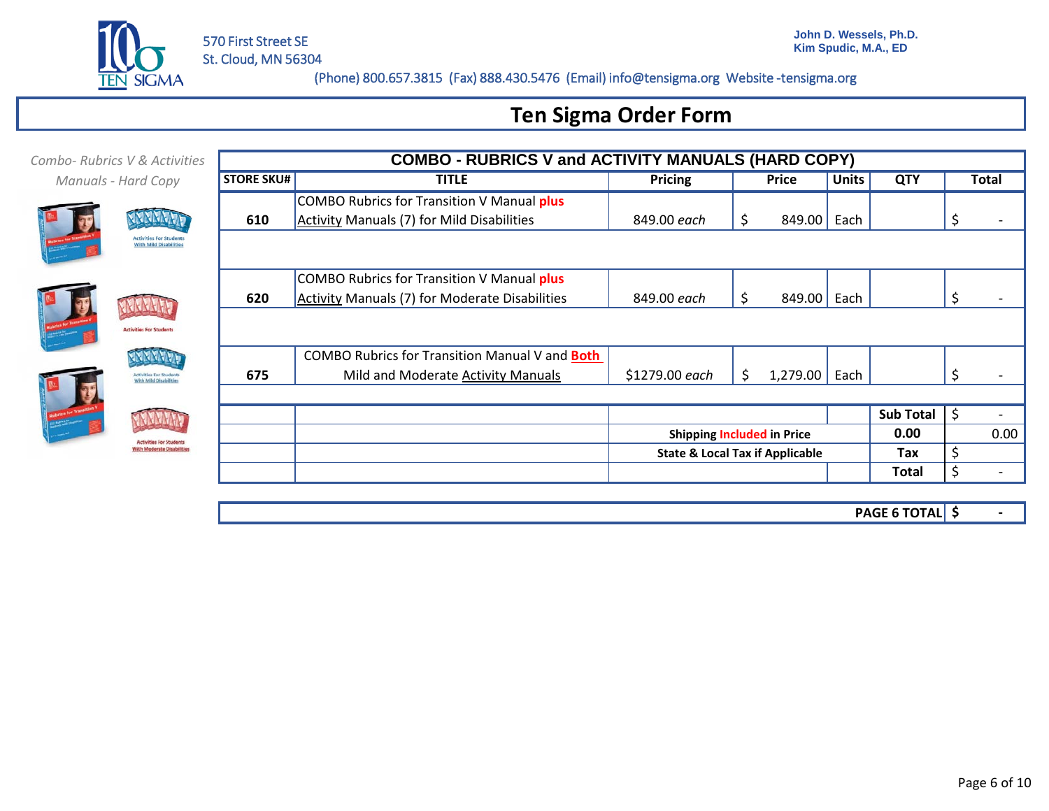

# **Ten Sigma Order Form**

| Combo-Rubrics V & Activities                                  |                   | <b>COMBO - RUBRICS V and ACTIVITY MANUALS (HARD COPY)</b> |                |                                            |              |                  |     |              |  |  |  |
|---------------------------------------------------------------|-------------------|-----------------------------------------------------------|----------------|--------------------------------------------|--------------|------------------|-----|--------------|--|--|--|
| Manuals - Hard Copy                                           | <b>STORE SKU#</b> | <b>TITLE</b>                                              | Pricing        | Price                                      | <b>Units</b> | <b>QTY</b>       |     | <b>Total</b> |  |  |  |
|                                                               |                   | COMBO Rubrics for Transition V Manual plus                |                |                                            |              |                  |     |              |  |  |  |
|                                                               | 610               | Activity Manuals (7) for Mild Disabilities                | 849.00 each    | \$<br>849.00                               | Each         |                  |     |              |  |  |  |
| <b>Activities For Student</b><br><b>With Mild Disabilitie</b> |                   |                                                           |                |                                            |              |                  |     |              |  |  |  |
|                                                               |                   | COMBO Rubrics for Transition V Manual plus                |                |                                            |              |                  |     |              |  |  |  |
|                                                               | 620               | Activity Manuals (7) for Moderate Disabilities            | 849.00 each    | \$<br>849.00                               | Each         |                  |     |              |  |  |  |
| <b>Activities For Students</b>                                |                   |                                                           |                |                                            |              |                  |     |              |  |  |  |
|                                                               |                   | COMBO Rubrics for Transition Manual V and Both            |                |                                            |              |                  |     |              |  |  |  |
| <b>Activities For Students</b><br>With Mild Disabilities      | 675               | Mild and Moderate Activity Manuals                        | \$1279.00 each | 1,279.00<br>S.                             | Each         |                  |     |              |  |  |  |
|                                                               |                   |                                                           |                |                                            |              |                  |     |              |  |  |  |
|                                                               |                   |                                                           |                |                                            |              | <b>Sub Total</b> | -\$ |              |  |  |  |
| ctivities For Student                                         |                   |                                                           |                | <b>Shipping Included in Price</b>          |              | 0.00             |     | 0.00         |  |  |  |
| ith Moderate Disabilities                                     |                   |                                                           |                | <b>State &amp; Local Tax if Applicable</b> |              | Tax              | \$  |              |  |  |  |
|                                                               |                   |                                                           |                |                                            |              | Total            | Ś.  |              |  |  |  |
|                                                               |                   |                                                           |                |                                            |              |                  |     |              |  |  |  |

**\$ - PAGE 6 TOTAL**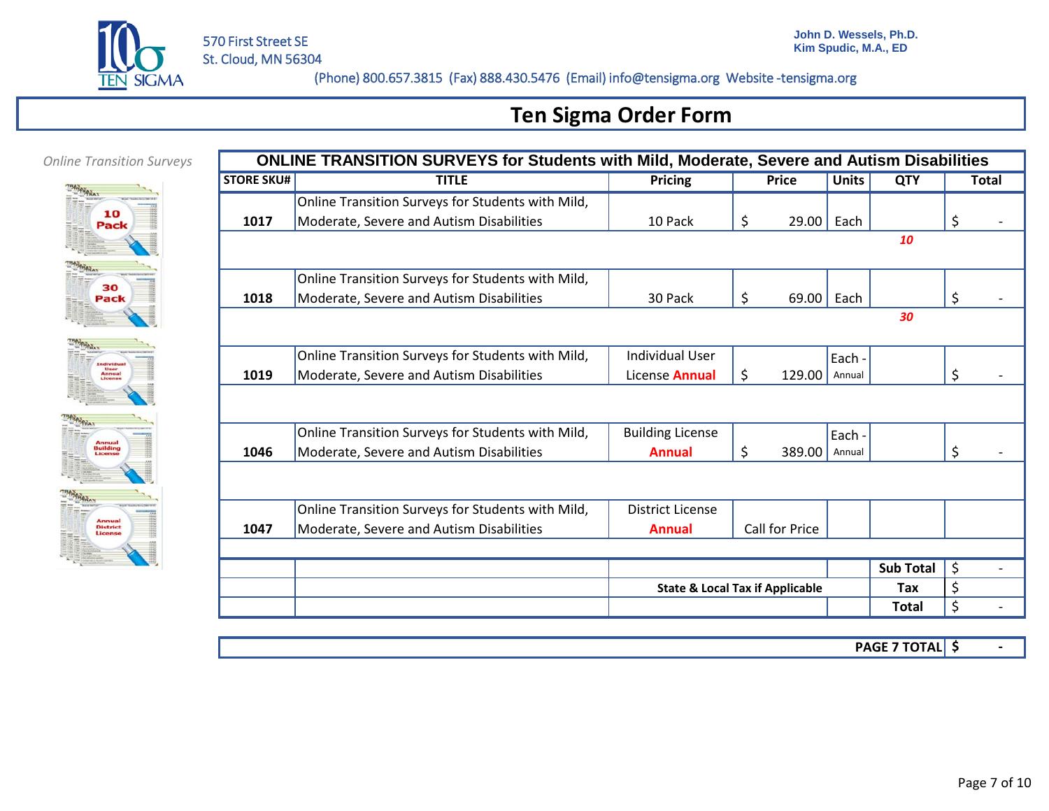

# **Ten Sigma Order Form**

### *Online Transition Surveys*





|                   | <b>ONLINE TRANSITION SURVEYS for Students with Mild, Moderate, Severe and Autism Disabilities</b> |                                            |                |              |                  |                      |
|-------------------|---------------------------------------------------------------------------------------------------|--------------------------------------------|----------------|--------------|------------------|----------------------|
| <b>STORE SKU#</b> | <b>TITLE</b>                                                                                      | <b>Pricing</b>                             | <b>Price</b>   | <b>Units</b> | <b>QTY</b>       | <b>Total</b>         |
|                   | Online Transition Surveys for Students with Mild,                                                 |                                            |                |              |                  |                      |
| 1017              | Moderate, Severe and Autism Disabilities                                                          | 10 Pack                                    | \$<br>29.00    | Each         |                  | \$                   |
|                   |                                                                                                   |                                            |                |              | 10               |                      |
|                   |                                                                                                   |                                            |                |              |                  |                      |
|                   | Online Transition Surveys for Students with Mild,                                                 |                                            |                |              |                  |                      |
| 1018              | Moderate, Severe and Autism Disabilities                                                          | 30 Pack                                    | \$<br>69.00    | Each         |                  | \$                   |
|                   |                                                                                                   |                                            |                |              | 30               |                      |
|                   |                                                                                                   |                                            |                |              |                  |                      |
|                   | Online Transition Surveys for Students with Mild,                                                 | <b>Individual User</b>                     |                | Each -       |                  |                      |
| 1019              | Moderate, Severe and Autism Disabilities                                                          | License <b>Annual</b>                      | \$<br>129.00   | Annual       |                  | \$                   |
|                   |                                                                                                   |                                            |                |              |                  |                      |
|                   |                                                                                                   |                                            |                |              |                  |                      |
|                   | Online Transition Surveys for Students with Mild,                                                 | <b>Building License</b>                    |                | Each -       |                  |                      |
| 1046              | Moderate, Severe and Autism Disabilities                                                          | <b>Annual</b>                              | \$<br>389.00   | Annual       |                  | \$                   |
|                   |                                                                                                   |                                            |                |              |                  |                      |
|                   |                                                                                                   |                                            |                |              |                  |                      |
|                   | Online Transition Surveys for Students with Mild,                                                 | <b>District License</b>                    |                |              |                  |                      |
| 1047              | Moderate, Severe and Autism Disabilities                                                          | <b>Annual</b>                              | Call for Price |              |                  |                      |
|                   |                                                                                                   |                                            |                |              |                  |                      |
|                   |                                                                                                   |                                            |                |              | <b>Sub Total</b> | \$<br>$\overline{a}$ |
|                   |                                                                                                   | <b>State &amp; Local Tax if Applicable</b> |                |              | Tax              | \$                   |
|                   |                                                                                                   |                                            |                |              | <b>Total</b>     | \$                   |

**\$ - PAGE 7 TOTAL**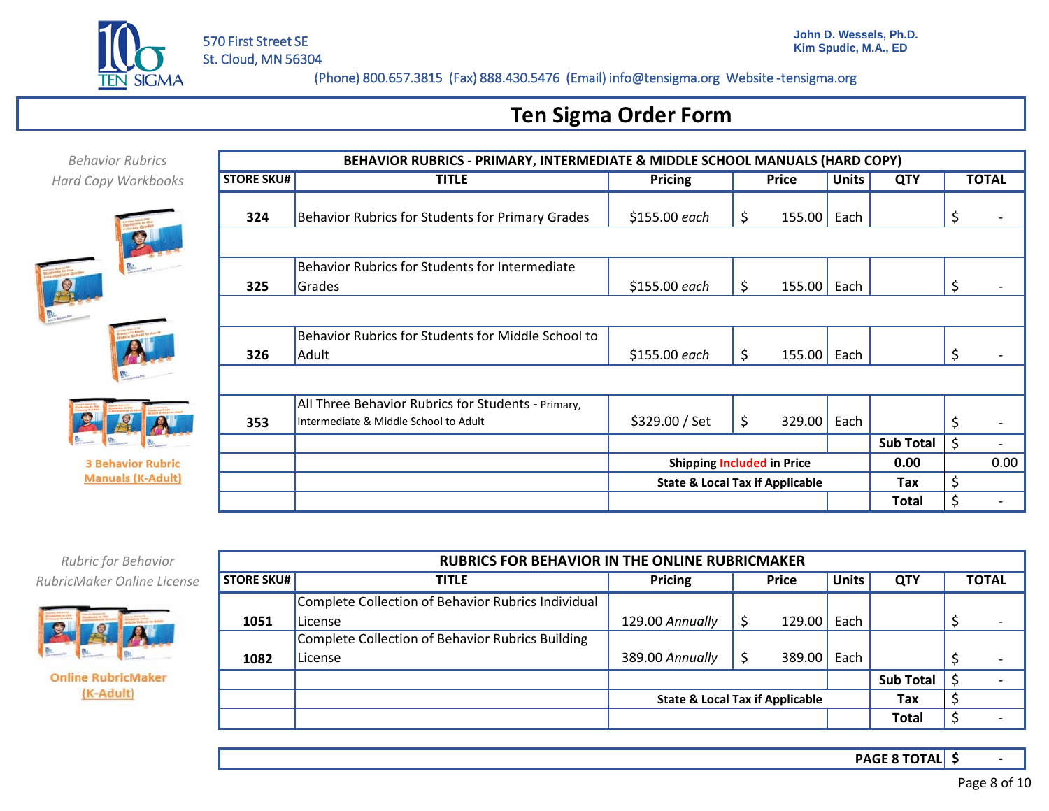

## **Ten Sigma Order Form**

| <b>Behavior Rubrics</b>    |                   | BEHAVIOR RUBRICS - PRIMARY, INTERMEDIATE & MIDDLE SCHOOL MANUALS (HARD COPY) |                |                                            |              |                  |    |              |
|----------------------------|-------------------|------------------------------------------------------------------------------|----------------|--------------------------------------------|--------------|------------------|----|--------------|
| <b>Hard Copy Workbooks</b> | <b>STORE SKU#</b> | <b>TITLE</b>                                                                 | <b>Pricing</b> | Price                                      | <b>Units</b> | <b>QTY</b>       |    | <b>TOTAL</b> |
|                            | 324               | Behavior Rubrics for Students for Primary Grades                             | \$155.00 each  | $155.00$ Each<br>Ş                         |              |                  |    |              |
|                            |                   |                                                                              |                |                                            |              |                  |    |              |
|                            |                   | Behavior Rubrics for Students for Intermediate                               |                |                                            |              |                  |    |              |
|                            | 325               | Grades                                                                       | \$155.00 each  | $155.00$ Each<br>\$                        |              |                  |    |              |
|                            |                   |                                                                              |                |                                            |              |                  |    |              |
|                            |                   | Behavior Rubrics for Students for Middle School to                           |                |                                            |              |                  |    |              |
|                            | 326               | Adult                                                                        | \$155.00 each  | $155.00$ Each                              |              |                  |    |              |
|                            |                   |                                                                              |                |                                            |              |                  |    |              |
|                            |                   | All Three Behavior Rubrics for Students - Primary,                           |                |                                            |              |                  |    |              |
|                            | 353               | Intermediate & Middle School to Adult                                        | \$329.00 / Set | 329.00<br>\$                               | Each         |                  |    |              |
|                            |                   |                                                                              |                |                                            |              | <b>Sub Total</b> | \$ |              |
| <b>3 Behavior Rubric</b>   |                   |                                                                              |                | <b>Shipping Included in Price</b>          |              | 0.00             |    | 0.00         |
| <b>Manuals (K-Adult)</b>   |                   |                                                                              |                | <b>State &amp; Local Tax if Applicable</b> |              | Tax              | \$ |              |
|                            |                   |                                                                              |                |                                            |              | <b>Total</b>     | ς  |              |
|                            |                   |                                                                              |                |                                            |              |                  |    |              |

*RubricMaker Online License Rubric for Behavior*



**Online RubricMaker** (K-Adult)

|                   | <b>RUBRICS FOR BEHAVIOR IN THE ONLINE RUBRICMAKER</b> |                                            |    |              |              |                  |  |                          |  |  |  |  |
|-------------------|-------------------------------------------------------|--------------------------------------------|----|--------------|--------------|------------------|--|--------------------------|--|--|--|--|
| <b>STORE SKU#</b> | <b>TITLE</b>                                          | Pricing                                    |    | <b>Price</b> | <b>Units</b> | <b>QTY</b>       |  | <b>TOTAL</b>             |  |  |  |  |
|                   | Complete Collection of Behavior Rubrics Individual    |                                            |    |              |              |                  |  |                          |  |  |  |  |
| 1051              | License                                               | 129.00 Annually                            |    | 129.00       | Each         |                  |  | $\overline{\phantom{a}}$ |  |  |  |  |
|                   | Complete Collection of Behavior Rubrics Building      |                                            |    |              |              |                  |  |                          |  |  |  |  |
| 1082              | License                                               | 389.00 Annually                            | \$ | 389.00       | Each         |                  |  | $\overline{\phantom{0}}$ |  |  |  |  |
|                   |                                                       |                                            |    |              |              | <b>Sub Total</b> |  |                          |  |  |  |  |
|                   |                                                       | <b>State &amp; Local Tax if Applicable</b> |    |              |              | Tax              |  |                          |  |  |  |  |
|                   |                                                       |                                            |    | Total        |              |                  |  |                          |  |  |  |  |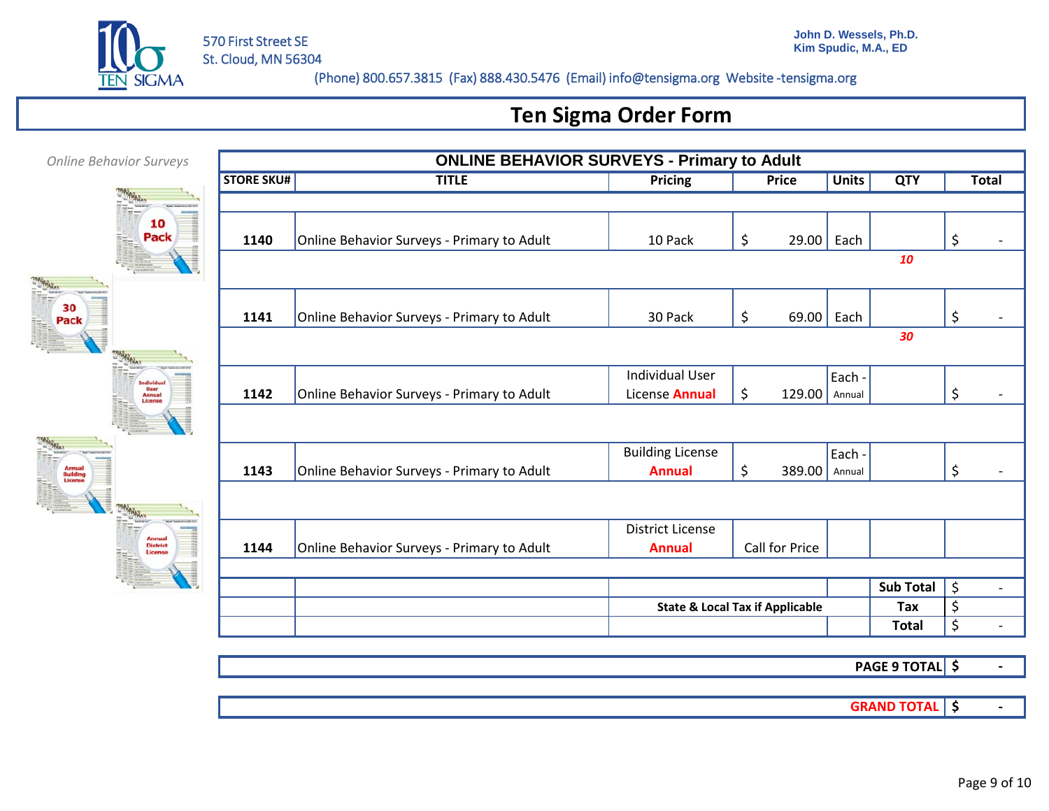

# **Ten Sigma Order Form**

| <b>Online Behavior Surveys</b> |                   | <b>ONLINE BEHAVIOR SURVEYS - Primary to Adult</b> |                         |                                                         |              |                  |                                     |
|--------------------------------|-------------------|---------------------------------------------------|-------------------------|---------------------------------------------------------|--------------|------------------|-------------------------------------|
|                                | <b>STORE SKU#</b> | <b>TITLE</b>                                      | <b>Pricing</b>          | <b>Price</b>                                            | <b>Units</b> | <b>QTY</b>       | <b>Total</b>                        |
|                                |                   |                                                   |                         |                                                         |              |                  |                                     |
| 10<br>Pack                     | 1140              | Online Behavior Surveys - Primary to Adult        | 10 Pack                 | \$<br>29.00                                             | Each         |                  | \$                                  |
|                                |                   |                                                   |                         |                                                         |              | 10               |                                     |
|                                |                   |                                                   |                         |                                                         |              |                  |                                     |
| 30<br>Pack                     | 1141              | Online Behavior Surveys - Primary to Adult        | 30 Pack                 | \$<br>69.00                                             | Each         |                  | \$                                  |
|                                |                   |                                                   |                         |                                                         |              | 30               |                                     |
|                                |                   |                                                   | <b>Individual User</b>  |                                                         | Each -       |                  |                                     |
| <b>Annual</b>                  | 1142              | Online Behavior Surveys - Primary to Adult        | License Annual          | \$<br>$129.00$ Annual                                   |              |                  | \$                                  |
|                                |                   |                                                   |                         |                                                         |              |                  |                                     |
|                                |                   |                                                   | <b>Building License</b> |                                                         | Each -       |                  |                                     |
| Annual<br>Buildin<br>License   | 1143              | Online Behavior Surveys - Primary to Adult        | <b>Annual</b>           | \$<br>389.00                                            | Annual       |                  | \$                                  |
|                                |                   |                                                   |                         |                                                         |              |                  |                                     |
|                                |                   |                                                   | <b>District License</b> |                                                         |              |                  |                                     |
| <b>District</b><br>License     | 1144              | Online Behavior Surveys - Primary to Adult        | <b>Annual</b>           | Call for Price                                          |              |                  |                                     |
|                                |                   |                                                   |                         |                                                         |              | <b>Sub Total</b> | $\zeta$<br>$\overline{\phantom{a}}$ |
|                                |                   |                                                   |                         | \$<br>Tax<br><b>State &amp; Local Tax if Applicable</b> |              |                  |                                     |
|                                |                   |                                                   |                         |                                                         |              | <b>Total</b>     | \$                                  |

**\$ - PAGE 9 TOTAL**

**SRAND TOTAL S**